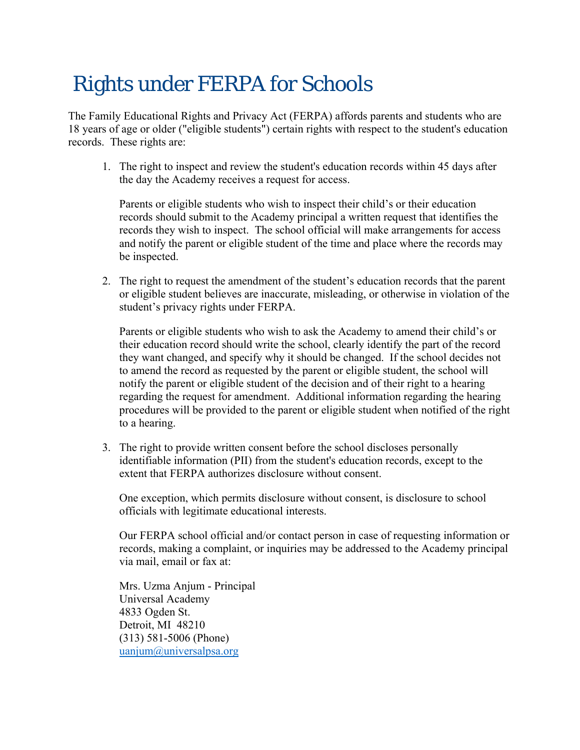## Rights under FERPA for Schools

The Family Educational Rights and Privacy Act (FERPA) affords parents and students who are 18 years of age or older ("eligible students") certain rights with respect to the student's education records. These rights are:

1. The right to inspect and review the student's education records within 45 days after the day the Academy receives a request for access.

Parents or eligible students who wish to inspect their child's or their education records should submit to the Academy principal a written request that identifies the records they wish to inspect. The school official will make arrangements for access and notify the parent or eligible student of the time and place where the records may be inspected.

2. The right to request the amendment of the student's education records that the parent or eligible student believes are inaccurate, misleading, or otherwise in violation of the student's privacy rights under FERPA.

Parents or eligible students who wish to ask the Academy to amend their child's or their education record should write the school, clearly identify the part of the record they want changed, and specify why it should be changed. If the school decides not to amend the record as requested by the parent or eligible student, the school will notify the parent or eligible student of the decision and of their right to a hearing regarding the request for amendment. Additional information regarding the hearing procedures will be provided to the parent or eligible student when notified of the right to a hearing.

3. The right to provide written consent before the school discloses personally identifiable information (PII) from the student's education records, except to the extent that FERPA authorizes disclosure without consent.

One exception, which permits disclosure without consent, is disclosure to school officials with legitimate educational interests.

Our FERPA school official and/or contact person in case of requesting information or records, making a complaint, or inquiries may be addressed to the Academy principal via mail, email or fax at:

Mrs. Uzma Anjum - Principal Universal Academy 4833 Ogden St. Detroit, MI 48210 (313) 581-5006 (Phone) uanjum@universalpsa.org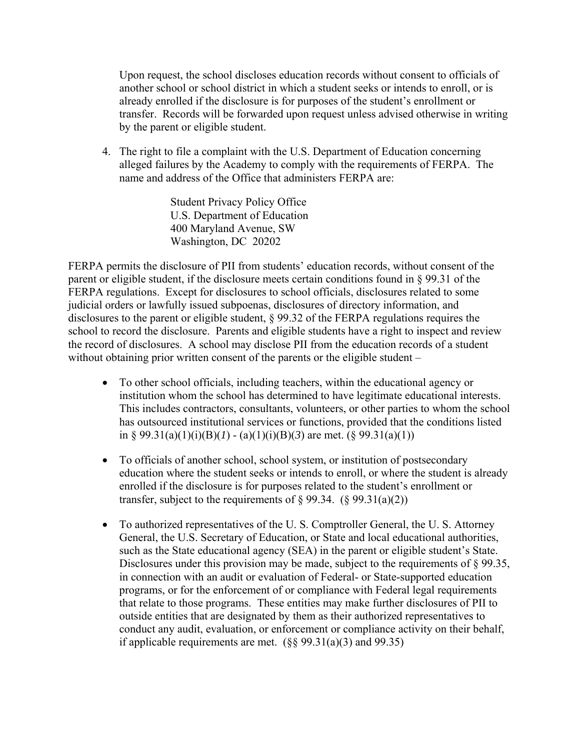Upon request, the school discloses education records without consent to officials of another school or school district in which a student seeks or intends to enroll, or is already enrolled if the disclosure is for purposes of the student's enrollment or transfer. Records will be forwarded upon request unless advised otherwise in writing by the parent or eligible student.

4. The right to file a complaint with the U.S. Department of Education concerning alleged failures by the Academy to comply with the requirements of FERPA. The name and address of the Office that administers FERPA are:

> Student Privacy Policy Office U.S. Department of Education 400 Maryland Avenue, SW Washington, DC 20202

FERPA permits the disclosure of PII from students' education records, without consent of the parent or eligible student, if the disclosure meets certain conditions found in  $\S 99.31$  of the FERPA regulations. Except for disclosures to school officials, disclosures related to some judicial orders or lawfully issued subpoenas, disclosures of directory information, and disclosures to the parent or eligible student, § 99.32 of the FERPA regulations requires the school to record the disclosure. Parents and eligible students have a right to inspect and review the record of disclosures. A school may disclose PII from the education records of a student without obtaining prior written consent of the parents or the eligible student –

- To other school officials, including teachers, within the educational agency or institution whom the school has determined to have legitimate educational interests. This includes contractors, consultants, volunteers, or other parties to whom the school has outsourced institutional services or functions, provided that the conditions listed in § 99.31(a)(1)(i)(B)(I) - (a)(1)(i)(B)(3) are met. (§ 99.31(a)(1))
- To officials of another school, school system, or institution of postsecondary education where the student seeks or intends to enroll, or where the student is already enrolled if the disclosure is for purposes related to the student's enrollment or transfer, subject to the requirements of  $\S 99.34.$  ( $\S 99.31(a)(2)$ )
- To authorized representatives of the U. S. Comptroller General, the U. S. Attorney General, the U.S. Secretary of Education, or State and local educational authorities, such as the State educational agency (SEA) in the parent or eligible student's State. Disclosures under this provision may be made, subject to the requirements of § 99.35, in connection with an audit or evaluation of Federal- or State-supported education programs, or for the enforcement of or compliance with Federal legal requirements that relate to those programs. These entities may make further disclosures of PII to outside entities that are designated by them as their authorized representatives to conduct any audit, evaluation, or enforcement or compliance activity on their behalf, if applicable requirements are met.  $(\S$ § 99.31(a)(3) and 99.35)